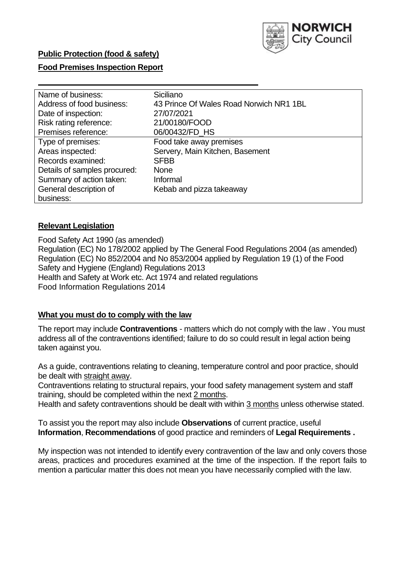

### **Food Premises Inspection Report**

| Name of business:            | Siciliano                               |
|------------------------------|-----------------------------------------|
| Address of food business:    | 43 Prince Of Wales Road Norwich NR1 1BL |
| Date of inspection:          | 27/07/2021                              |
| Risk rating reference:       | 21/00180/FOOD                           |
| Premises reference:          | 06/00432/FD_HS                          |
| Type of premises:            | Food take away premises                 |
| Areas inspected:             | Servery, Main Kitchen, Basement         |
| Records examined:            | <b>SFBB</b>                             |
| Details of samples procured: | <b>None</b>                             |
| Summary of action taken:     | Informal                                |
| General description of       | Kebab and pizza takeaway                |
| business:                    |                                         |

#### **Relevant Legislation**

 Food Safety Act 1990 (as amended) Regulation (EC) No 178/2002 applied by The General Food Regulations 2004 (as amended) Regulation (EC) No 852/2004 and No 853/2004 applied by Regulation 19 (1) of the Food Safety and Hygiene (England) Regulations 2013 Health and Safety at Work etc. Act 1974 and related regulations Food Information Regulations 2014

#### **What you must do to comply with the law**

 The report may include **Contraventions** - matters which do not comply with the law . You must address all of the contraventions identified; failure to do so could result in legal action being taken against you.

 As a guide, contraventions relating to cleaning, temperature control and poor practice, should be dealt with straight away.

 Contraventions relating to structural repairs, your food safety management system and staff training, should be completed within the next 2 months.

Health and safety contraventions should be dealt with within 3 months unless otherwise stated.

 To assist you the report may also include **Observations** of current practice, useful **Information**, **Recommendations** of good practice and reminders of **Legal Requirements .** 

 My inspection was not intended to identify every contravention of the law and only covers those areas, practices and procedures examined at the time of the inspection. If the report fails to mention a particular matter this does not mean you have necessarily complied with the law.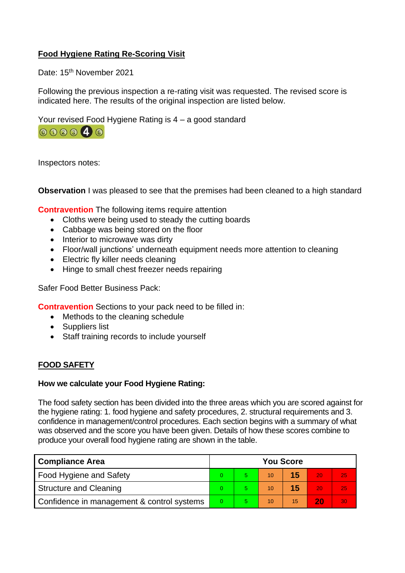# **Food Hygiene Rating Re-Scoring Visit**

Date: 15<sup>th</sup> November 2021

Following the previous inspection a re-rating visit was requested. The revised score is indicated here. The results of the original inspection are listed below.

Your revised Food Hygiene Rating is 4 – a good standard



Inspectors notes:

**Observation** I was pleased to see that the premises had been cleaned to a high standard

**Contravention** The following items require attention

- Cloths were being used to steady the cutting boards
- Cabbage was being stored on the floor
- Interior to microwave was dirty
- Floor/wall junctions' underneath equipment needs more attention to cleaning
- Electric fly killer needs cleaning
- Hinge to small chest freezer needs repairing

Safer Food Better Business Pack:

**Contravention** Sections to your pack need to be filled in:

- Methods to the cleaning schedule
- Suppliers list
- Staff training records to include yourself

### **FOOD SAFETY**

#### **How we calculate your Food Hygiene Rating:**

 The food safety section has been divided into the three areas which you are scored against for the hygiene rating: 1. food hygiene and safety procedures, 2. structural requirements and 3. confidence in management/control procedures. Each section begins with a summary of what was observed and the score you have been given. Details of how these scores combine to produce your overall food hygiene rating are shown in the table.

| <b>Compliance Area</b>                     |  | <b>You Score</b> |    |    |    |    |  |  |
|--------------------------------------------|--|------------------|----|----|----|----|--|--|
| Food Hygiene and Safety                    |  |                  | 10 | 15 | 20 | 25 |  |  |
| <b>Structure and Cleaning</b>              |  |                  | 10 | 15 | 20 | 25 |  |  |
| Confidence in management & control systems |  |                  | 10 | 15 | 20 | 30 |  |  |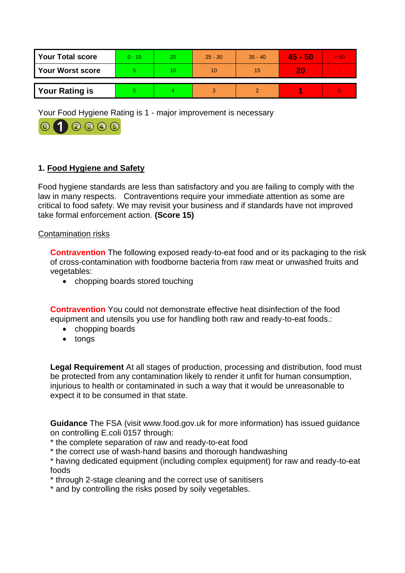| <b>Your Total score</b> | 0 - 15 | 20. | $25 - 30$ | $35 - 40$ | $45 - 50$ | > 50         |
|-------------------------|--------|-----|-----------|-----------|-----------|--------------|
| <b>Your Worst score</b> |        | 10  | 10        | 15        | 20        | <b>COLOR</b> |
| <b>Your Rating is</b>   |        |     | વ         |           |           |              |

Your Food Hygiene Rating is 1 - major improvement is necessary



# **1. Food Hygiene and Safety**

 law in many respects. Contraventions require your immediate attention as some are Food hygiene standards are less than satisfactory and you are failing to comply with the critical to food safety. We may revisit your business and if standards have not improved take formal enforcement action. **(Score 15)** 

#### Contamination risks

**Contravention** The following exposed ready-to-eat food and or its packaging to the risk of cross-contamination with foodborne bacteria from raw meat or unwashed fruits and vegetables:

• chopping boards stored touching

**Contravention** You could not demonstrate effective heat disinfection of the food equipment and utensils you use for handling both raw and ready-to-eat foods.:

- chopping boards
- tongs

 injurious to health or contaminated in such a way that it would be unreasonable to **Legal Requirement** At all stages of production, processing and distribution, food must be protected from any contamination likely to render it unfit for human consumption, expect it to be consumed in that state.

 **Guidance** The FSA (visit <www.food.gov.uk> for more information) has issued guidance on controlling E.coli 0157 through:

\* the complete separation of raw and ready-to-eat food

\* the correct use of wash-hand basins and thorough handwashing

\* having dedicated equipment (including complex equipment) for raw and ready-to-eat foods

- \* through 2-stage cleaning and the correct use of sanitisers
- \* and by controlling the risks posed by soily vegetables.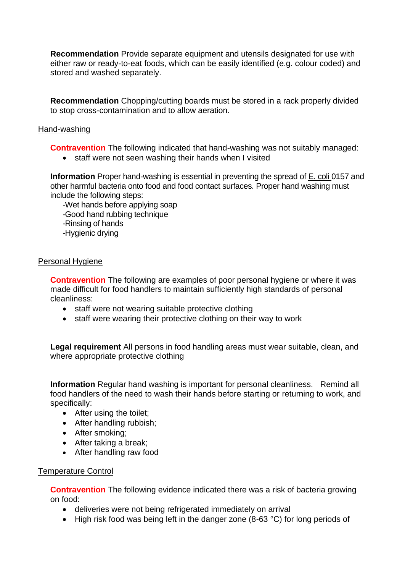**Recommendation** Provide separate equipment and utensils designated for use with either raw or ready-to-eat foods, which can be easily identified (e.g. colour coded) and stored and washed separately.

**Recommendation** Chopping/cutting boards must be stored in a rack properly divided to stop cross-contamination and to allow aeration.

#### Hand-washing

**Contravention** The following indicated that hand-washing was not suitably managed:

• staff were not seen washing their hands when I visited

 **Information** Proper hand-washing is essential in preventing the spread of E. coli 0157 and other harmful bacteria onto food and food contact surfaces. Proper hand washing must include the following steps:

-Wet hands before applying soap

-Good hand rubbing technique

-Rinsing of hands

-Hygienic drying

### Personal Hygiene

 made difficult for food handlers to maintain sufficiently high standards of personal **Contravention** The following are examples of poor personal hygiene or where it was cleanliness:

- staff were not wearing suitable protective clothing
- staff were wearing their protective clothing on their way to work

**Legal requirement** All persons in food handling areas must wear suitable, clean, and where appropriate protective clothing

 **Information** Regular hand washing is important for personal cleanliness. Remind all food handlers of the need to wash their hands before starting or returning to work, and specifically:

- After using the toilet:
- After handling rubbish;
- After smoking;
- After taking a break;
- After handling raw food

#### Temperature Control

**Contravention** The following evidence indicated there was a risk of bacteria growing on food:

- deliveries were not being refrigerated immediately on arrival
- High risk food was being left in the danger zone (8-63 °C) for long periods of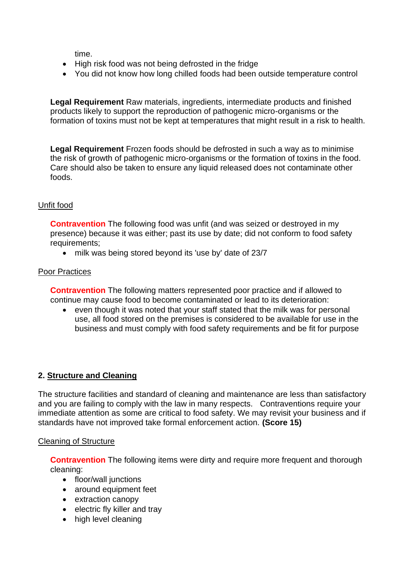time.

- High risk food was not being defrosted in the fridge
- You did not know how long chilled foods had been outside temperature control

**Legal Requirement** Raw materials, ingredients, intermediate products and finished products likely to support the reproduction of pathogenic micro-organisms or the formation of toxins must not be kept at temperatures that might result in a risk to health.

**Legal Requirement** Frozen foods should be defrosted in such a way as to minimise the risk of growth of pathogenic micro-organisms or the formation of toxins in the food. Care should also be taken to ensure any liquid released does not contaminate other foods.

# Unfit food

**Contravention** The following food was unfit (and was seized or destroyed in my presence) because it was either; past its use by date; did not conform to food safety requirements;

• milk was being stored beyond its 'use by' date of 23/7

### Poor Practices

 **Contravention** The following matters represented poor practice and if allowed to continue may cause food to become contaminated or lead to its deterioration:

 use, all food stored on the premises is considered to be available for use in the business and must comply with food safety requirements and be fit for purpose • even though it was noted that your staff stated that the milk was for personal

### **2. Structure and Cleaning**

 and you are failing to comply with the law in many respects. Contraventions require your The structure facilities and standard of cleaning and maintenance are less than satisfactory immediate attention as some are critical to food safety. We may revisit your business and if standards have not improved take formal enforcement action. **(Score 15)** 

### Cleaning of Structure

**Contravention** The following items were dirty and require more frequent and thorough cleaning:

- floor/wall junctions
- around equipment feet
- extraction canopy
- electric fly killer and tray
- high level cleaning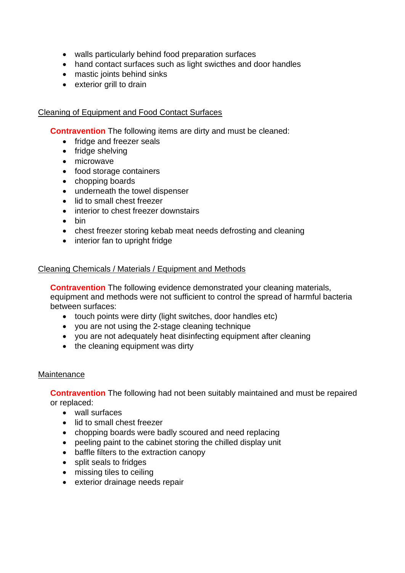- walls particularly behind food preparation surfaces
- hand contact surfaces such as light swicthes and door handles
- mastic joints behind sinks
- exterior grill to drain

#### Cleaning of Equipment and Food Contact Surfaces

**Contravention** The following items are dirty and must be cleaned:

- fridge and freezer seals
- fridge shelving
- microwave
- food storage containers
- chopping boards
- underneath the towel dispenser
- lid to small chest freezer
- interior to chest freezer downstairs
- bin
- chest freezer storing kebab meat needs defrosting and cleaning
- interior fan to upright fridge

#### Cleaning Chemicals / Materials / Equipment and Methods

**Contravention** The following evidence demonstrated your cleaning materials, equipment and methods were not sufficient to control the spread of harmful bacteria between surfaces:

- touch points were dirty (light switches, door handles etc)
- you are not using the 2-stage cleaning technique
- you are not adequately heat disinfecting equipment after cleaning
- the cleaning equipment was dirty

#### **Maintenance**

**Contravention** The following had not been suitably maintained and must be repaired or replaced:

- wall surfaces
- lid to small chest freezer
- chopping boards were badly scoured and need replacing
- peeling paint to the cabinet storing the chilled display unit
- baffle filters to the extraction canopy
- split seals to fridges
- missing tiles to ceiling
- exterior drainage needs repair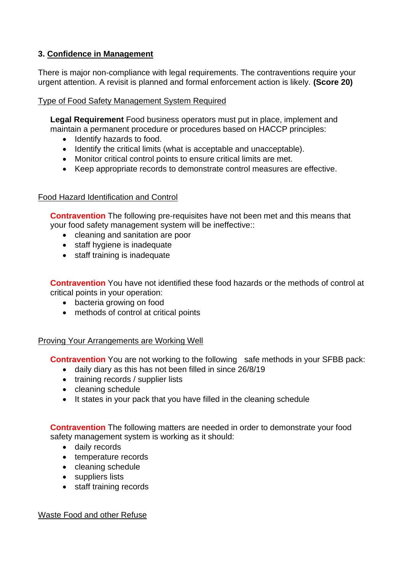# **3. Confidence in Management**

There is major non-compliance with legal requirements. The contraventions require your urgent attention. A revisit is planned and formal enforcement action is likely. **(Score 20)** 

### Type of Food Safety Management System Required

 maintain a permanent procedure or procedures based on HACCP principles: **Legal Requirement** Food business operators must put in place, implement and

- Identify hazards to food.
- Identify the critical limits (what is acceptable and unacceptable).
- Monitor critical control points to ensure critical limits are met.
- Keep appropriate records to demonstrate control measures are effective.

# Food Hazard Identification and Control

**Contravention** The following pre-requisites have not been met and this means that your food safety management system will be ineffective::

- cleaning and sanitation are poor
- staff hygiene is inadequate
- staff training is inadequate

**Contravention** You have not identified these food hazards or the methods of control at critical points in your operation:

- bacteria growing on food
- methods of control at critical points

### Proving Your Arrangements are Working Well

**Contravention** You are not working to the following safe methods in your SFBB pack:

- daily diary as this has not been filled in since 26/8/19
- training records / supplier lists
- cleaning schedule
- It states in your pack that you have filled in the cleaning schedule

**Contravention** The following matters are needed in order to demonstrate your food safety management system is working as it should:

- daily records
- temperature records
- cleaning schedule
- suppliers lists
- staff training records

Waste Food and other Refuse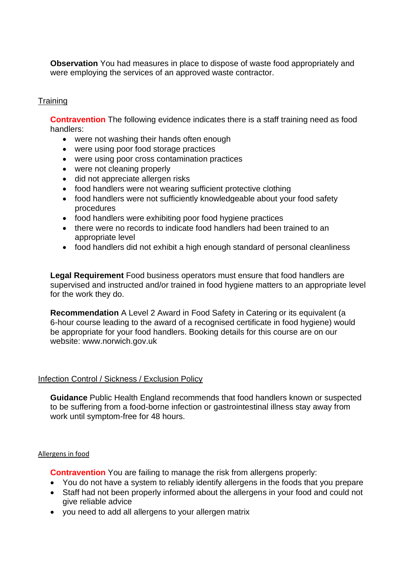**Observation** You had measures in place to dispose of waste food appropriately and were employing the services of an approved waste contractor.

### **Training**

 **Contravention** The following evidence indicates there is a staff training need as food handlers:

- were not washing their hands often enough
- were using poor food storage practices
- were using poor cross contamination practices
- were not cleaning properly
- did not appreciate allergen risks
- food handlers were not wearing sufficient protective clothing
- food handlers were not sufficiently knowledgeable about your food safety procedures
- food handlers were exhibiting poor food hygiene practices
- • there were no records to indicate food handlers had been trained to an appropriate level
- food handlers did not exhibit a high enough standard of personal cleanliness

 supervised and instructed and/or trained in food hygiene matters to an appropriate level **Legal Requirement** Food business operators must ensure that food handlers are for the work they do.

**Recommendation** A Level 2 Award in Food Safety in Catering or its equivalent (a 6-hour course leading to the award of a recognised certificate in food hygiene) would be appropriate for your food handlers. Booking details for this course are on our website: <www.norwich.gov.uk>

#### Infection Control / Sickness / Exclusion Policy

**Guidance** Public Health England recommends that food handlers known or suspected to be suffering from a food-borne infection or gastrointestinal illness stay away from work until symptom-free for 48 hours.

#### Allergens in food

**Contravention** You are failing to manage the risk from allergens properly:

- You do not have a system to reliably identify allergens in the foods that you prepare
- Staff had not been properly informed about the allergens in your food and could not give reliable advice
- you need to add all allergens to your allergen matrix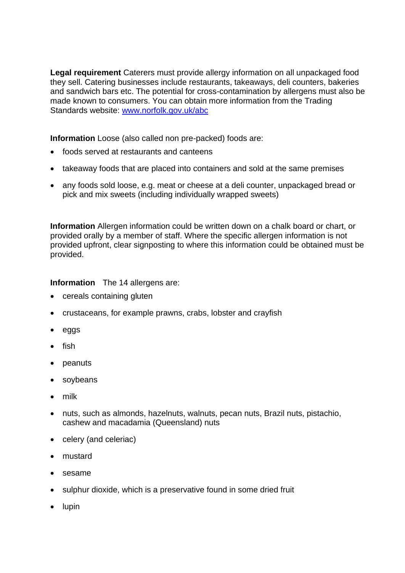**Legal requirement** Caterers must provide allergy information on all unpackaged food they sell. Catering businesses include restaurants, takeaways, deli counters, bakeries and sandwich bars etc. The potential for cross-contamination by allergens must also be made known to consumers. You can obtain more information from the Trading Standards website: [www.norfolk.gov.uk/abc](http://www.norfolk.gov.uk/abc) 

**Information** Loose (also called non pre-packed) foods are:

- foods served at restaurants and canteens
- takeaway foods that are placed into containers and sold at the same premises
- any foods sold loose, e.g. meat or cheese at a deli counter, unpackaged bread or pick and mix sweets (including individually wrapped sweets)

 **Information** Allergen information could be written down on a chalk board or chart, or provided upfront, clear signposting to where this information could be obtained must be provided orally by a member of staff. Where the specific allergen information is not provided.

### **Information** The 14 allergens are:

- cereals containing gluten
- crustaceans, for example prawns, crabs, lobster and crayfish
- eggs
- fish
- peanuts
- soybeans
- milk
- nuts, such as almonds, hazelnuts, walnuts, pecan nuts, Brazil nuts, pistachio, cashew and macadamia (Queensland) nuts
- celery (and celeriac)
- mustard
- sesame
- sulphur dioxide, which is a preservative found in some dried fruit
- lupin